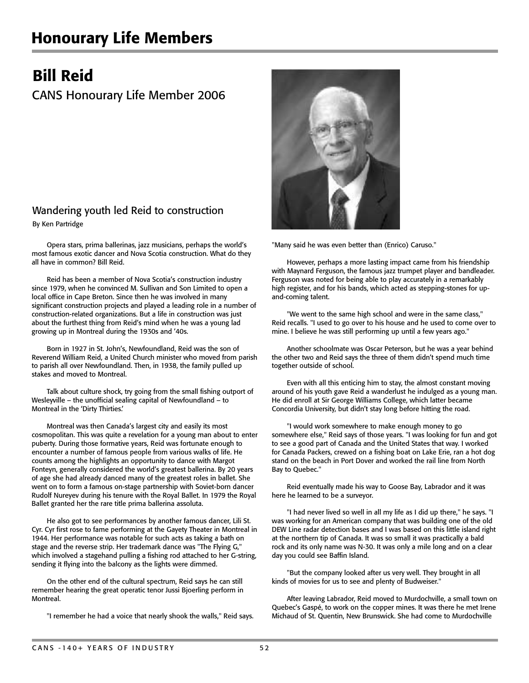## Honourary Life Members

## Bill Reid

## CANS Honourary Life Member 2006

## Wandering youth led Reid to construction

By Ken Partridge

Opera stars, prima ballerinas, jazz musicians, perhaps the world's most famous exotic dancer and Nova Scotia construction. What do they all have in common? Bill Reid.

Reid has been a member of Nova Scotia's construction industry since 1979, when he convinced M. Sullivan and Son Limited to open a local office in Cape Breton. Since then he was involved in many significant construction projects and played a leading role in a number of construction-related organizations. But a life in construction was just about the furthest thing from Reid's mind when he was a young lad growing up in Montreal during the 1930s and '40s.

Born in 1927 in St. John's, Newfoundland, Reid was the son of Reverend William Reid, a United Church minister who moved from parish to parish all over Newfoundland. Then, in 1938, the family pulled up stakes and moved to Montreal.

Talk about culture shock, try going from the small fishing outport of Wesleyville – the unofficial sealing capital of Newfoundland – to Montreal in the 'Dirty Thirties.'

Montreal was then Canada's largest city and easily its most cosmopolitan. This was quite a revelation for a young man about to enter puberty. During those formative years, Reid was fortunate enough to encounter a number of famous people from various walks of life. He counts among the highlights an opportunity to dance with Margot Fonteyn, generally considered the world's greatest ballerina. By 20 years of age she had already danced many of the greatest roles in ballet. She went on to form a famous on-stage partnership with Soviet-born dancer Rudolf Nureyev during his tenure with the Royal Ballet. In 1979 the Royal Ballet granted her the rare title prima ballerina assoluta.

He also got to see performances by another famous dancer, Lili St. Cyr. Cyr first rose to fame performing at the Gayety Theater in Montreal in 1944. Her performance was notable for such acts as taking a bath on stage and the reverse strip. Her trademark dance was "The Flying G," which involved a stagehand pulling a fishing rod attached to her G-string, sending it flying into the balcony as the lights were dimmed.

On the other end of the cultural spectrum, Reid says he can still remember hearing the great operatic tenor Jussi Bjoerling perform in Montreal.

"I remember he had a voice that nearly shook the walls," Reid says.



"Many said he was even better than (Enrico) Caruso."

However, perhaps a more lasting impact came from his friendship with Maynard Ferguson, the famous jazz trumpet player and bandleader. Ferguson was noted for being able to play accurately in a remarkably high register, and for his bands, which acted as stepping-stones for upand-coming talent.

"We went to the same high school and were in the same class," Reid recalls. "I used to go over to his house and he used to come over to mine. I believe he was still performing up until a few years ago."

Another schoolmate was Oscar Peterson, but he was a year behind the other two and Reid says the three of them didn't spend much time together outside of school.

Even with all this enticing him to stay, the almost constant moving around of his youth gave Reid a wanderlust he indulged as a young man. He did enroll at Sir George Williams College, which latter became Concordia University, but didn't stay long before hitting the road.

"I would work somewhere to make enough money to go somewhere else," Reid says of those years. "I was looking for fun and got to see a good part of Canada and the United States that way. I worked for Canada Packers, crewed on a fishing boat on Lake Erie, ran a hot dog stand on the beach in Port Dover and worked the rail line from North Bay to Quebec."

Reid eventually made his way to Goose Bay, Labrador and it was here he learned to be a surveyor.

"I had never lived so well in all my life as I did up there," he says. "I was working for an American company that was building one of the old DEW Line radar detection bases and I was based on this little island right at the northern tip of Canada. It was so small it was practically a bald rock and its only name was N-30. It was only a mile long and on a clear day you could see Baffin Island.

"But the company looked after us very well. They brought in all kinds of movies for us to see and plenty of Budweiser."

After leaving Labrador, Reid moved to Murdochville, a small town on Quebec's Gaspé, to work on the copper mines. It was there he met Irene Michaud of St. Quentin, New Brunswick. She had come to Murdochville